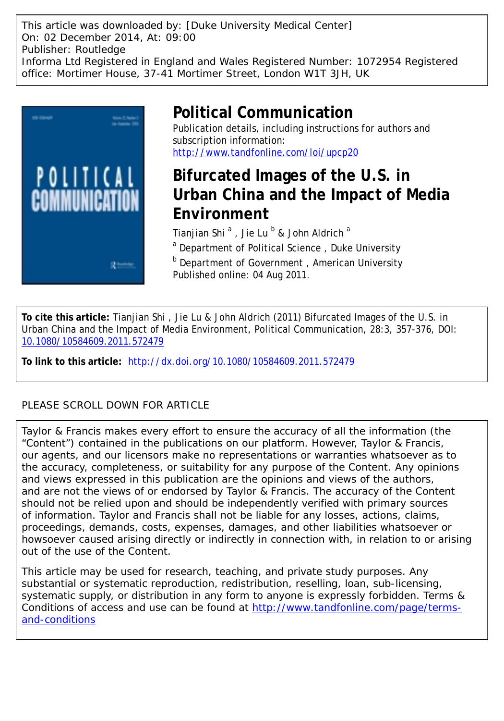This article was downloaded by: [Duke University Medical Center] On: 02 December 2014, At: 09:00 Publisher: Routledge Informa Ltd Registered in England and Wales Registered Number: 1072954 Registered office: Mortimer House, 37-41 Mortimer Street, London W1T 3JH, UK



# **Political Communication**

Publication details, including instructions for authors and subscription information: <http://www.tandfonline.com/loi/upcp20>

**Bifurcated Images of the U.S. in Urban China and the Impact of Media Environment**

Tianjian Shi <sup>a</sup> , Jie Lu <sup>b</sup> & John Aldrich <sup>a</sup>

<sup>a</sup> Department of Political Science, Duke University

**b** Department of Government, American University Published online: 04 Aug 2011.

**To cite this article:** Tianjian Shi , Jie Lu & John Aldrich (2011) Bifurcated Images of the U.S. in Urban China and the Impact of Media Environment, Political Communication, 28:3, 357-376, DOI: [10.1080/10584609.2011.572479](http://www.tandfonline.com/action/showCitFormats?doi=10.1080/10584609.2011.572479)

**To link to this article:** <http://dx.doi.org/10.1080/10584609.2011.572479>

### PLEASE SCROLL DOWN FOR ARTICLE

Taylor & Francis makes every effort to ensure the accuracy of all the information (the "Content") contained in the publications on our platform. However, Taylor & Francis, our agents, and our licensors make no representations or warranties whatsoever as to the accuracy, completeness, or suitability for any purpose of the Content. Any opinions and views expressed in this publication are the opinions and views of the authors, and are not the views of or endorsed by Taylor & Francis. The accuracy of the Content should not be relied upon and should be independently verified with primary sources of information. Taylor and Francis shall not be liable for any losses, actions, claims, proceedings, demands, costs, expenses, damages, and other liabilities whatsoever or howsoever caused arising directly or indirectly in connection with, in relation to or arising out of the use of the Content.

This article may be used for research, teaching, and private study purposes. Any substantial or systematic reproduction, redistribution, reselling, loan, sub-licensing, systematic supply, or distribution in any form to anyone is expressly forbidden. Terms & Conditions of access and use can be found at [http://www.tandfonline.com/page/terms](http://www.tandfonline.com/page/terms-and-conditions)[and-conditions](http://www.tandfonline.com/page/terms-and-conditions)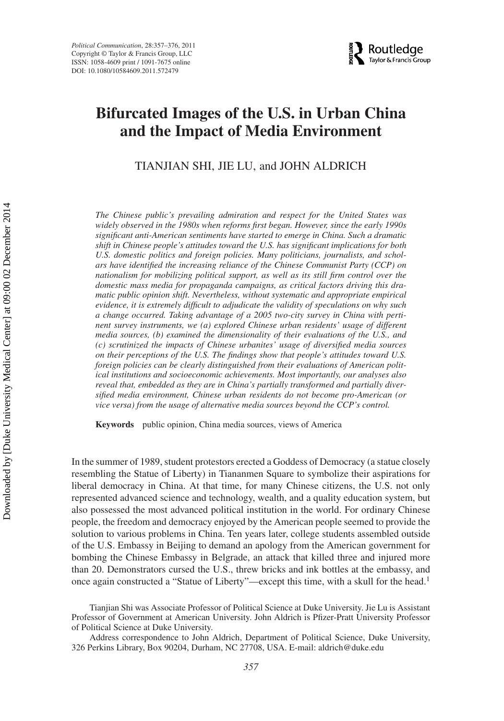

## **Bifurcated Images of the U.S. in Urban China and the Impact of Media Environment**

TIANJIAN SHI, JIE LU, and JOHN ALDRICH

*The Chinese public's prevailing admiration and respect for the United States was widely observed in the 1980s when reforms first began. However, since the early 1990s significant anti-American sentiments have started to emerge in China. Such a dramatic shift in Chinese people's attitudes toward the U.S. has significant implications for both U.S. domestic politics and foreign policies. Many politicians, journalists, and scholars have identified the increasing reliance of the Chinese Communist Party (CCP) on nationalism for mobilizing political support, as well as its still firm control over the domestic mass media for propaganda campaigns, as critical factors driving this dramatic public opinion shift. Nevertheless, without systematic and appropriate empirical evidence, it is extremely difficult to adjudicate the validity of speculations on why such a change occurred. Taking advantage of a 2005 two-city survey in China with pertinent survey instruments, we (a) explored Chinese urban residents' usage of different media sources, (b) examined the dimensionality of their evaluations of the U.S., and (c) scrutinized the impacts of Chinese urbanites' usage of diversified media sources on their perceptions of the U.S. The findings show that people's attitudes toward U.S. foreign policies can be clearly distinguished from their evaluations of American political institutions and socioeconomic achievements. Most importantly, our analyses also reveal that, embedded as they are in China's partially transformed and partially diversified media environment, Chinese urban residents do not become pro-American (or vice versa) from the usage of alternative media sources beyond the CCP's control.*

**Keywords** public opinion, China media sources, views of America

In the summer of 1989, student protestors erected a Goddess of Democracy (a statue closely resembling the Statue of Liberty) in Tiananmen Square to symbolize their aspirations for liberal democracy in China. At that time, for many Chinese citizens, the U.S. not only represented advanced science and technology, wealth, and a quality education system, but also possessed the most advanced political institution in the world. For ordinary Chinese people, the freedom and democracy enjoyed by the American people seemed to provide the solution to various problems in China. Ten years later, college students assembled outside of the U.S. Embassy in Beijing to demand an apology from the American government for bombing the Chinese Embassy in Belgrade, an attack that killed three and injured more than 20. Demonstrators cursed the U.S., threw bricks and ink bottles at the embassy, and once again constructed a "Statue of Liberty"—except this time, with a skull for the head.<sup>1</sup>

Tianjian Shi was Associate Professor of Political Science at Duke University. Jie Lu is Assistant Professor of Government at American University. John Aldrich is Pfizer-Pratt University Professor of Political Science at Duke University.

Address correspondence to John Aldrich, Department of Political Science, Duke University, 326 Perkins Library, Box 90204, Durham, NC 27708, USA. E-mail: aldrich@duke.edu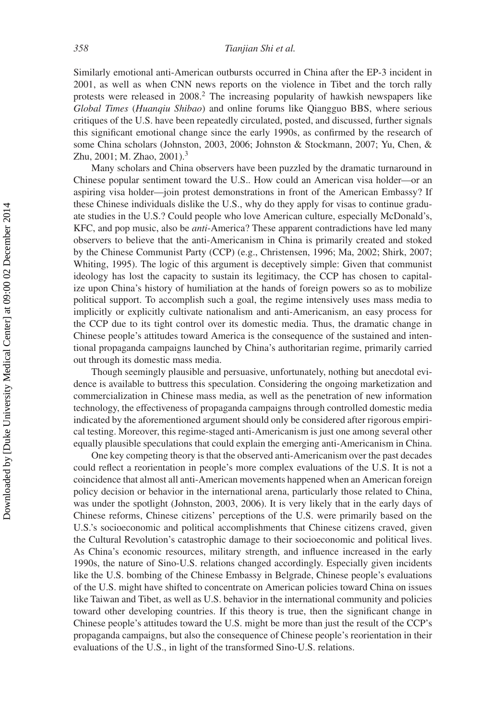Similarly emotional anti-American outbursts occurred in China after the EP-3 incident in 2001, as well as when CNN news reports on the violence in Tibet and the torch rally protests were released in  $2008<sup>2</sup>$ . The increasing popularity of hawkish newspapers like *Global Times* (*Huanqiu Shibao*) and online forums like Qiangguo BBS, where serious critiques of the U.S. have been repeatedly circulated, posted, and discussed, further signals this significant emotional change since the early 1990s, as confirmed by the research of some China scholars (Johnston, 2003, 2006; Johnston & Stockmann, 2007; Yu, Chen, & Zhu, 2001; M. Zhao, 2001).<sup>3</sup>

Many scholars and China observers have been puzzled by the dramatic turnaround in Chinese popular sentiment toward the U.S.. How could an American visa holder—or an aspiring visa holder—join protest demonstrations in front of the American Embassy? If these Chinese individuals dislike the U.S., why do they apply for visas to continue graduate studies in the U.S.? Could people who love American culture, especially McDonald's, KFC, and pop music, also be *anti*-America? These apparent contradictions have led many observers to believe that the anti-Americanism in China is primarily created and stoked by the Chinese Communist Party (CCP) (e.g., Christensen, 1996; Ma, 2002; Shirk, 2007; Whiting, 1995). The logic of this argument is deceptively simple: Given that communist ideology has lost the capacity to sustain its legitimacy, the CCP has chosen to capitalize upon China's history of humiliation at the hands of foreign powers so as to mobilize political support. To accomplish such a goal, the regime intensively uses mass media to implicitly or explicitly cultivate nationalism and anti-Americanism, an easy process for the CCP due to its tight control over its domestic media. Thus, the dramatic change in Chinese people's attitudes toward America is the consequence of the sustained and intentional propaganda campaigns launched by China's authoritarian regime, primarily carried out through its domestic mass media.

Though seemingly plausible and persuasive, unfortunately, nothing but anecdotal evidence is available to buttress this speculation. Considering the ongoing marketization and commercialization in Chinese mass media, as well as the penetration of new information technology, the effectiveness of propaganda campaigns through controlled domestic media indicated by the aforementioned argument should only be considered after rigorous empirical testing. Moreover, this regime-staged anti-Americanism is just one among several other equally plausible speculations that could explain the emerging anti-Americanism in China.

One key competing theory is that the observed anti-Americanism over the past decades could reflect a reorientation in people's more complex evaluations of the U.S. It is not a coincidence that almost all anti-American movements happened when an American foreign policy decision or behavior in the international arena, particularly those related to China, was under the spotlight (Johnston, 2003, 2006). It is very likely that in the early days of Chinese reforms, Chinese citizens' perceptions of the U.S. were primarily based on the U.S.'s socioeconomic and political accomplishments that Chinese citizens craved, given the Cultural Revolution's catastrophic damage to their socioeconomic and political lives. As China's economic resources, military strength, and influence increased in the early 1990s, the nature of Sino-U.S. relations changed accordingly. Especially given incidents like the U.S. bombing of the Chinese Embassy in Belgrade, Chinese people's evaluations of the U.S. might have shifted to concentrate on American policies toward China on issues like Taiwan and Tibet, as well as U.S. behavior in the international community and policies toward other developing countries. If this theory is true, then the significant change in Chinese people's attitudes toward the U.S. might be more than just the result of the CCP's propaganda campaigns, but also the consequence of Chinese people's reorientation in their evaluations of the U.S., in light of the transformed Sino-U.S. relations.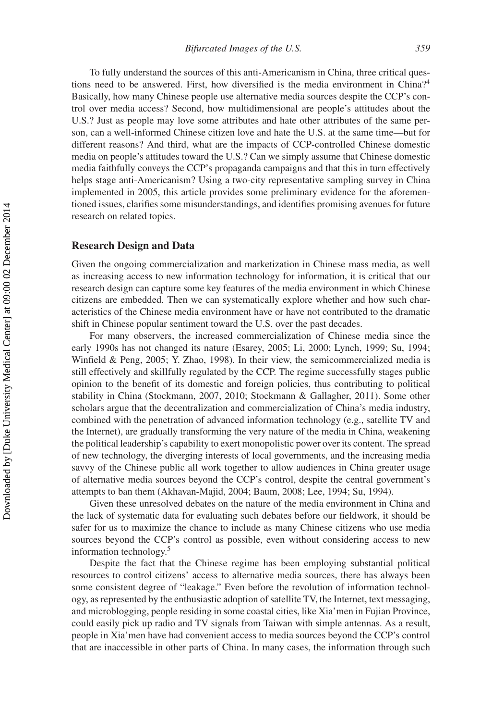To fully understand the sources of this anti-Americanism in China, three critical questions need to be answered. First, how diversified is the media environment in China?4 Basically, how many Chinese people use alternative media sources despite the CCP's control over media access? Second, how multidimensional are people's attitudes about the U.S.? Just as people may love some attributes and hate other attributes of the same person, can a well-informed Chinese citizen love and hate the U.S. at the same time—but for different reasons? And third, what are the impacts of CCP-controlled Chinese domestic media on people's attitudes toward the U.S.? Can we simply assume that Chinese domestic media faithfully conveys the CCP's propaganda campaigns and that this in turn effectively helps stage anti-Americanism? Using a two-city representative sampling survey in China implemented in 2005, this article provides some preliminary evidence for the aforementioned issues, clarifies some misunderstandings, and identifies promising avenues for future research on related topics.

#### **Research Design and Data**

Given the ongoing commercialization and marketization in Chinese mass media, as well as increasing access to new information technology for information, it is critical that our research design can capture some key features of the media environment in which Chinese citizens are embedded. Then we can systematically explore whether and how such characteristics of the Chinese media environment have or have not contributed to the dramatic shift in Chinese popular sentiment toward the U.S. over the past decades.

For many observers, the increased commercialization of Chinese media since the early 1990s has not changed its nature (Esarey, 2005; Li, 2000; Lynch, 1999; Su, 1994; Winfield & Peng, 2005; Y. Zhao, 1998). In their view, the semicommercialized media is still effectively and skillfully regulated by the CCP. The regime successfully stages public opinion to the benefit of its domestic and foreign policies, thus contributing to political stability in China (Stockmann, 2007, 2010; Stockmann & Gallagher, 2011). Some other scholars argue that the decentralization and commercialization of China's media industry, combined with the penetration of advanced information technology (e.g., satellite TV and the Internet), are gradually transforming the very nature of the media in China, weakening the political leadership's capability to exert monopolistic power over its content. The spread of new technology, the diverging interests of local governments, and the increasing media savvy of the Chinese public all work together to allow audiences in China greater usage of alternative media sources beyond the CCP's control, despite the central government's attempts to ban them (Akhavan-Majid, 2004; Baum, 2008; Lee, 1994; Su, 1994).

Given these unresolved debates on the nature of the media environment in China and the lack of systematic data for evaluating such debates before our fieldwork, it should be safer for us to maximize the chance to include as many Chinese citizens who use media sources beyond the CCP's control as possible, even without considering access to new information technology.<sup>5</sup>

Despite the fact that the Chinese regime has been employing substantial political resources to control citizens' access to alternative media sources, there has always been some consistent degree of "leakage." Even before the revolution of information technology, as represented by the enthusiastic adoption of satellite TV, the Internet, text messaging, and microblogging, people residing in some coastal cities, like Xia'men in Fujian Province, could easily pick up radio and TV signals from Taiwan with simple antennas. As a result, people in Xia'men have had convenient access to media sources beyond the CCP's control that are inaccessible in other parts of China. In many cases, the information through such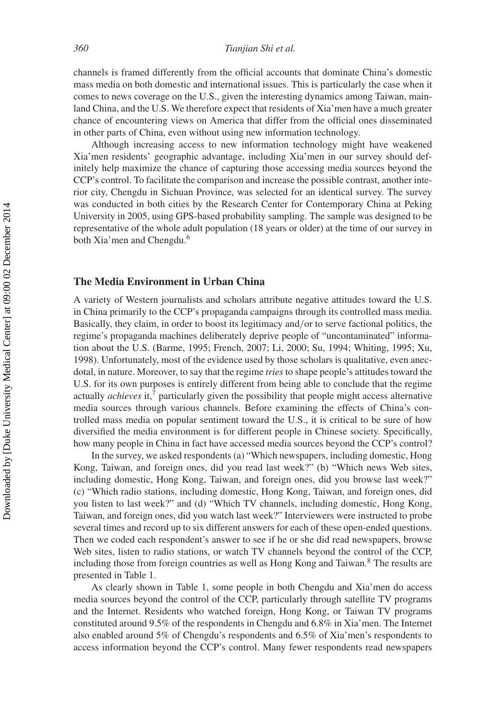channels is framed differently from the official accounts that dominate China's domestic mass media on both domestic and international issues. This is particularly the case when it comes to news coverage on the U.S., given the interesting dynamics among Taiwan, mainland China, and the U.S. We therefore expect that residents of Xia'men have a much greater chance of encountering views on America that differ from the official ones disseminated in other parts of China, even without using new information technology.

Although increasing access to new information technology might have weakened Xia'men residents' geographic advantage, including Xia'men in our survey should definitely help maximize the chance of capturing those accessing media sources beyond the CCP's control. To facilitate the comparison and increase the possible contrast, another interior city, Chengdu in Sichuan Province, was selected for an identical survey. The survey was conducted in both cities by the Research Center for Contemporary China at Peking University in 2005, using GPS-based probability sampling. The sample was designed to be representative of the whole adult population (18 years or older) at the time of our survey in both Xia'men and Chengdu.<sup>6</sup>

#### **The Media Environment in Urban China**

A variety of Western journalists and scholars attribute negative attitudes toward the U.S. in China primarily to the CCP's propaganda campaigns through its controlled mass media. Basically, they claim, in order to boost its legitimacy and*/*or to serve factional politics, the regime's propaganda machines deliberately deprive people of "uncontaminated" information about the U.S. (Barme, 1995; French, 2007; Li, 2000; Su, 1994; Whiting, 1995; Xu, 1998). Unfortunately, most of the evidence used by those scholars is qualitative, even anecdotal, in nature. Moreover, to say that the regime *tries* to shape people's attitudes toward the U.S. for its own purposes is entirely different from being able to conclude that the regime actually *achieves* it,<sup>7</sup> particularly given the possibility that people might access alternative media sources through various channels. Before examining the effects of China's controlled mass media on popular sentiment toward the U.S., it is critical to be sure of how diversified the media environment is for different people in Chinese society. Specifically, how many people in China in fact have accessed media sources beyond the CCP's control?

In the survey, we asked respondents (a) "Which newspapers, including domestic, Hong Kong, Taiwan, and foreign ones, did you read last week?" (b) "Which news Web sites, including domestic, Hong Kong, Taiwan, and foreign ones, did you browse last week?" (c) "Which radio stations, including domestic, Hong Kong, Taiwan, and foreign ones, did you listen to last week?" and (d) "Which TV channels, including domestic, Hong Kong, Taiwan, and foreign ones, did you watch last week?" Interviewers were instructed to probe several times and record up to six different answers for each of these open-ended questions. Then we coded each respondent's answer to see if he or she did read newspapers, browse Web sites, listen to radio stations, or watch TV channels beyond the control of the CCP, including those from foreign countries as well as Hong Kong and Taiwan.<sup>8</sup> The results are presented in Table 1.

As clearly shown in Table 1, some people in both Chengdu and Xia'men do access media sources beyond the control of the CCP, particularly through satellite TV programs and the Internet. Residents who watched foreign, Hong Kong, or Taiwan TV programs constituted around 9.5% of the respondents in Chengdu and 6.8% in Xia'men. The Internet also enabled around 5% of Chengdu's respondents and 6.5% of Xia'men's respondents to access information beyond the CCP's control. Many fewer respondents read newspapers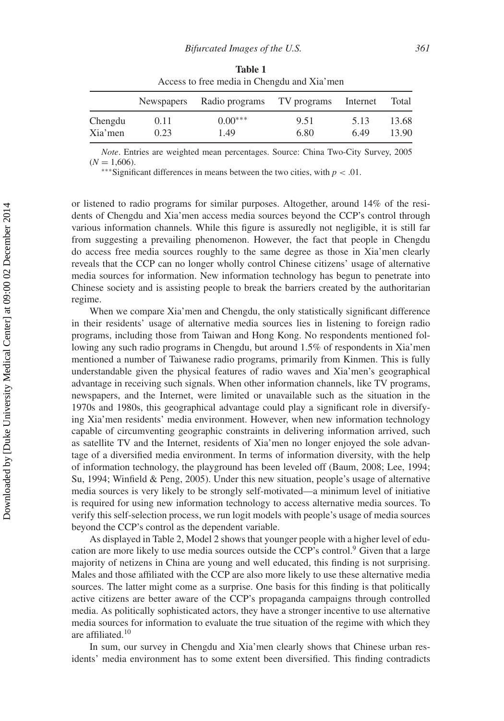|         | Newspapers | Radio programs | TV programs | Internet | Total |
|---------|------------|----------------|-------------|----------|-------|
| Chengdu | 0.11       | $0.00***$      | 9.51        | 5.13     | 13.68 |
| Xia'men | 0.23       | 1.49           | 6.80        | 6.49     | 13.90 |

**Table 1** Access to free media in Chengdu and Xia'men

*Note*. Entries are weighted mean percentages. Source: China Two-City Survey, 2005  $(N = 1,606)$ .<br><sup>\*\*\*</sup>Significant differences in means between the two cities, with  $p < .01$ .

or listened to radio programs for similar purposes. Altogether, around 14% of the residents of Chengdu and Xia'men access media sources beyond the CCP's control through various information channels. While this figure is assuredly not negligible, it is still far from suggesting a prevailing phenomenon. However, the fact that people in Chengdu do access free media sources roughly to the same degree as those in Xia'men clearly reveals that the CCP can no longer wholly control Chinese citizens' usage of alternative media sources for information. New information technology has begun to penetrate into Chinese society and is assisting people to break the barriers created by the authoritarian regime.

When we compare Xia'men and Chengdu, the only statistically significant difference in their residents' usage of alternative media sources lies in listening to foreign radio programs, including those from Taiwan and Hong Kong. No respondents mentioned following any such radio programs in Chengdu, but around 1.5% of respondents in Xia'men mentioned a number of Taiwanese radio programs, primarily from Kinmen. This is fully understandable given the physical features of radio waves and Xia'men's geographical advantage in receiving such signals. When other information channels, like TV programs, newspapers, and the Internet, were limited or unavailable such as the situation in the 1970s and 1980s, this geographical advantage could play a significant role in diversifying Xia'men residents' media environment. However, when new information technology capable of circumventing geographic constraints in delivering information arrived, such as satellite TV and the Internet, residents of Xia'men no longer enjoyed the sole advantage of a diversified media environment. In terms of information diversity, with the help of information technology, the playground has been leveled off (Baum, 2008; Lee, 1994; Su, 1994; Winfield & Peng, 2005). Under this new situation, people's usage of alternative media sources is very likely to be strongly self-motivated—a minimum level of initiative is required for using new information technology to access alternative media sources. To verify this self-selection process, we run logit models with people's usage of media sources beyond the CCP's control as the dependent variable.

As displayed in Table 2, Model 2 shows that younger people with a higher level of education are more likely to use media sources outside the CCP's control.<sup>9</sup> Given that a large majority of netizens in China are young and well educated, this finding is not surprising. Males and those affiliated with the CCP are also more likely to use these alternative media sources. The latter might come as a surprise. One basis for this finding is that politically active citizens are better aware of the CCP's propaganda campaigns through controlled media. As politically sophisticated actors, they have a stronger incentive to use alternative media sources for information to evaluate the true situation of the regime with which they are affiliated.<sup>10</sup>

In sum, our survey in Chengdu and Xia'men clearly shows that Chinese urban residents' media environment has to some extent been diversified. This finding contradicts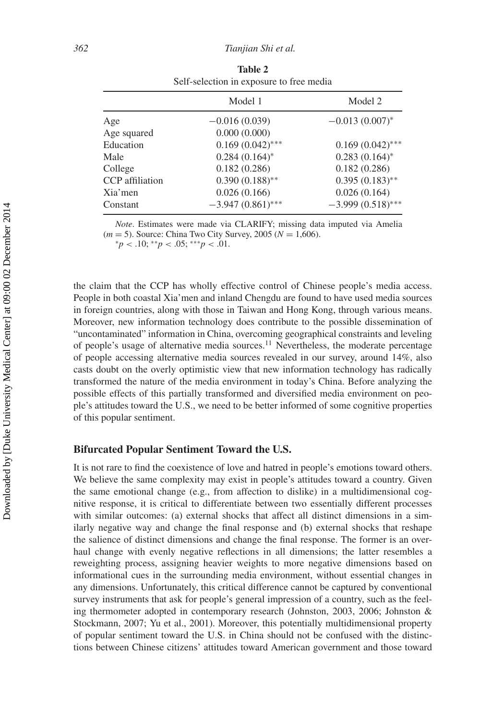|                 | Model 1             | Model 2             |
|-----------------|---------------------|---------------------|
| Age             | $-0.016(0.039)$     | $-0.013(0.007)^{*}$ |
| Age squared     | 0.000(0.000)        |                     |
| Education       | $0.169(0.042)$ ***  | $0.169(0.042)$ ***  |
| Male            | $0.284(0.164)$ *    | $0.283(0.164)$ *    |
| College         | 0.182(0.286)        | 0.182(0.286)        |
| CCP affiliation | $0.390(0.188)$ **   | $0.395(0.183)$ **   |
| Xia'men         | 0.026(0.166)        | 0.026(0.164)        |
| Constant        | $-3.947(0.861)$ *** | $-3.999(0.518)$ *** |

| <b>Table 2</b>                           |
|------------------------------------------|
| Self-selection in exposure to free media |

*Note*. Estimates were made via CLARIFY; missing data imputed via Amelia (*<sup>m</sup>* <sup>=</sup> 5). Source: China Two City Survey, 2005 (*<sup>N</sup>* <sup>=</sup> 1,606). <sup>∗</sup>*<sup>p</sup> <sup>&</sup>lt;* .10; ∗∗*<sup>p</sup> <sup>&</sup>lt;* .05; ∗∗∗*<sup>p</sup> <sup>&</sup>lt;* .01.

the claim that the CCP has wholly effective control of Chinese people's media access. People in both coastal Xia'men and inland Chengdu are found to have used media sources in foreign countries, along with those in Taiwan and Hong Kong, through various means. Moreover, new information technology does contribute to the possible dissemination of "uncontaminated" information in China, overcoming geographical constraints and leveling of people's usage of alternative media sources.<sup>11</sup> Nevertheless, the moderate percentage of people accessing alternative media sources revealed in our survey, around 14%, also casts doubt on the overly optimistic view that new information technology has radically transformed the nature of the media environment in today's China. Before analyzing the possible effects of this partially transformed and diversified media environment on people's attitudes toward the U.S., we need to be better informed of some cognitive properties of this popular sentiment.

#### **Bifurcated Popular Sentiment Toward the U.S.**

It is not rare to find the coexistence of love and hatred in people's emotions toward others. We believe the same complexity may exist in people's attitudes toward a country. Given the same emotional change (e.g., from affection to dislike) in a multidimensional cognitive response, it is critical to differentiate between two essentially different processes with similar outcomes: (a) external shocks that affect all distinct dimensions in a similarly negative way and change the final response and (b) external shocks that reshape the salience of distinct dimensions and change the final response. The former is an overhaul change with evenly negative reflections in all dimensions; the latter resembles a reweighting process, assigning heavier weights to more negative dimensions based on informational cues in the surrounding media environment, without essential changes in any dimensions. Unfortunately, this critical difference cannot be captured by conventional survey instruments that ask for people's general impression of a country, such as the feeling thermometer adopted in contemporary research (Johnston, 2003, 2006; Johnston & Stockmann, 2007; Yu et al., 2001). Moreover, this potentially multidimensional property of popular sentiment toward the U.S. in China should not be confused with the distinctions between Chinese citizens' attitudes toward American government and those toward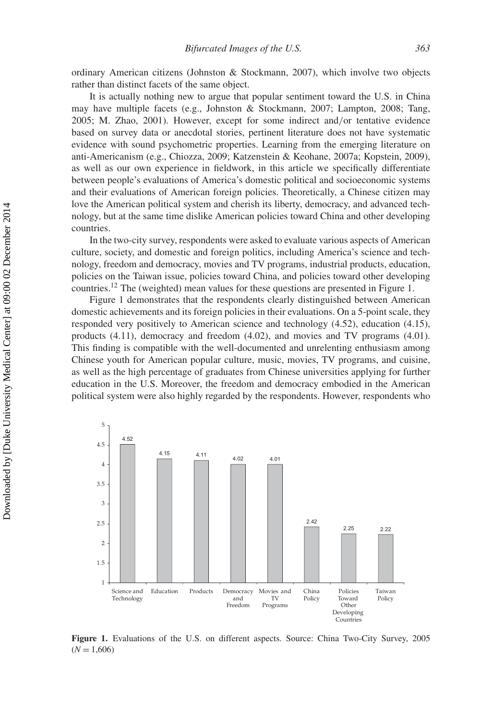ordinary American citizens (Johnston & Stockmann, 2007), which involve two objects rather than distinct facets of the same object.

It is actually nothing new to argue that popular sentiment toward the U.S. in China may have multiple facets (e.g., Johnston & Stockmann, 2007; Lampton, 2008; Tang, 2005; M. Zhao, 2001). However, except for some indirect and*/*or tentative evidence based on survey data or anecdotal stories, pertinent literature does not have systematic evidence with sound psychometric properties. Learning from the emerging literature on anti-Americanism (e.g., Chiozza, 2009; Katzenstein & Keohane, 2007a; Kopstein, 2009), as well as our own experience in fieldwork, in this article we specifically differentiate between people's evaluations of America's domestic political and socioeconomic systems and their evaluations of American foreign policies. Theoretically, a Chinese citizen may love the American political system and cherish its liberty, democracy, and advanced technology, but at the same time dislike American policies toward China and other developing countries.

In the two-city survey, respondents were asked to evaluate various aspects of American culture, society, and domestic and foreign politics, including America's science and technology, freedom and democracy, movies and TV programs, industrial products, education, policies on the Taiwan issue, policies toward China, and policies toward other developing countries.<sup>12</sup> The (weighted) mean values for these questions are presented in Figure 1.

Figure 1 demonstrates that the respondents clearly distinguished between American domestic achievements and its foreign policies in their evaluations. On a 5-point scale, they responded very positively to American science and technology (4.52), education (4.15), products (4.11), democracy and freedom (4.02), and movies and TV programs (4.01). This finding is compatible with the well-documented and unrelenting enthusiasm among Chinese youth for American popular culture, music, movies, TV programs, and cuisine, as well as the high percentage of graduates from Chinese universities applying for further education in the U.S. Moreover, the freedom and democracy embodied in the American political system were also highly regarded by the respondents. However, respondents who



**Figure 1.** Evaluations of the U.S. on different aspects. Source: China Two-City Survey, 2005  $(N = 1,606)$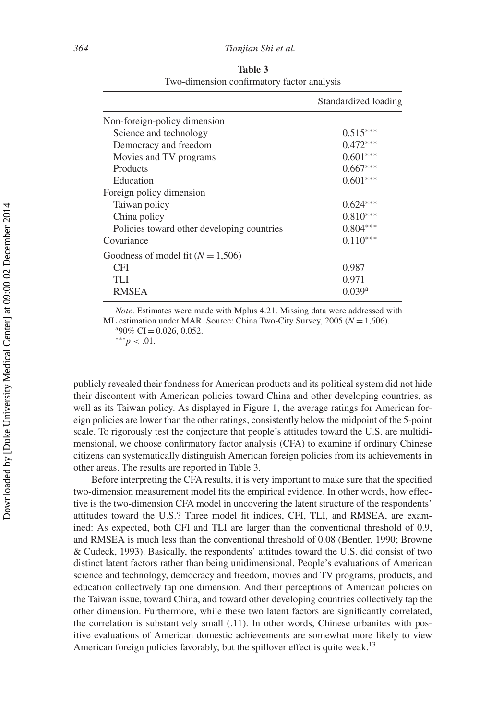|                                            | Standardized loading |
|--------------------------------------------|----------------------|
| Non-foreign-policy dimension               |                      |
| Science and technology                     | $0.515***$           |
| Democracy and freedom                      | $0.472***$           |
| Movies and TV programs                     | $0.601***$           |
| Products                                   | $0.667***$           |
| Education                                  | $0.601***$           |
| Foreign policy dimension                   |                      |
| Taiwan policy                              | $0.624***$           |
| China policy                               | $0.810***$           |
| Policies toward other developing countries | $0.804***$           |
| Covariance                                 | $0.110***$           |
| Goodness of model fit $(N = 1,506)$        |                      |
| <b>CFI</b>                                 | 0.987                |
| TLI                                        | 0.971                |
| <b>RMSEA</b>                               | $0.039$ <sup>a</sup> |
|                                            |                      |

**Table 3** Two-dimension confirmatory factor analysis

*Note*. Estimates were made with Mplus 4.21. Missing data were addressed with ML estimation under MAR. Source: China Two-City Survey,  $2005 (N = 1,606)$ . 90% CI <sup>=</sup> 0.026, 0.052. ∗∗∗*<sup>p</sup> <sup>&</sup>lt;* .01.

publicly revealed their fondness for American products and its political system did not hide their discontent with American policies toward China and other developing countries, as well as its Taiwan policy. As displayed in Figure 1, the average ratings for American foreign policies are lower than the other ratings, consistently below the midpoint of the 5-point scale. To rigorously test the conjecture that people's attitudes toward the U.S. are multidimensional, we choose confirmatory factor analysis (CFA) to examine if ordinary Chinese citizens can systematically distinguish American foreign policies from its achievements in other areas. The results are reported in Table 3.

Before interpreting the CFA results, it is very important to make sure that the specified two-dimension measurement model fits the empirical evidence. In other words, how effective is the two-dimension CFA model in uncovering the latent structure of the respondents' attitudes toward the U.S.? Three model fit indices, CFI, TLI, and RMSEA, are examined: As expected, both CFI and TLI are larger than the conventional threshold of 0.9, and RMSEA is much less than the conventional threshold of 0.08 (Bentler, 1990; Browne & Cudeck, 1993). Basically, the respondents' attitudes toward the U.S. did consist of two distinct latent factors rather than being unidimensional. People's evaluations of American science and technology, democracy and freedom, movies and TV programs, products, and education collectively tap one dimension. And their perceptions of American policies on the Taiwan issue, toward China, and toward other developing countries collectively tap the other dimension. Furthermore, while these two latent factors are significantly correlated, the correlation is substantively small (.11). In other words, Chinese urbanites with positive evaluations of American domestic achievements are somewhat more likely to view American foreign policies favorably, but the spillover effect is quite weak.<sup>13</sup>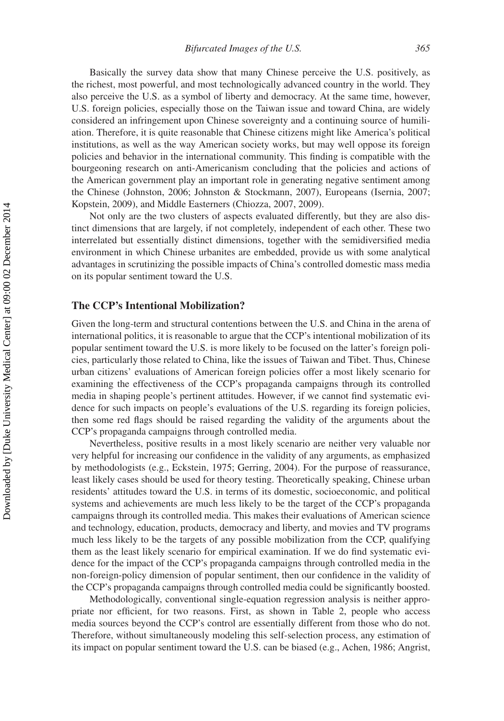Basically the survey data show that many Chinese perceive the U.S. positively, as the richest, most powerful, and most technologically advanced country in the world. They also perceive the U.S. as a symbol of liberty and democracy. At the same time, however, U.S. foreign policies, especially those on the Taiwan issue and toward China, are widely considered an infringement upon Chinese sovereignty and a continuing source of humiliation. Therefore, it is quite reasonable that Chinese citizens might like America's political institutions, as well as the way American society works, but may well oppose its foreign policies and behavior in the international community. This finding is compatible with the bourgeoning research on anti-Americanism concluding that the policies and actions of the American government play an important role in generating negative sentiment among the Chinese (Johnston, 2006; Johnston & Stockmann, 2007), Europeans (Isernia, 2007; Kopstein, 2009), and Middle Easterners (Chiozza, 2007, 2009).

Not only are the two clusters of aspects evaluated differently, but they are also distinct dimensions that are largely, if not completely, independent of each other. These two interrelated but essentially distinct dimensions, together with the semidiversified media environment in which Chinese urbanites are embedded, provide us with some analytical advantages in scrutinizing the possible impacts of China's controlled domestic mass media on its popular sentiment toward the U.S.

#### **The CCP's Intentional Mobilization?**

Given the long-term and structural contentions between the U.S. and China in the arena of international politics, it is reasonable to argue that the CCP's intentional mobilization of its popular sentiment toward the U.S. is more likely to be focused on the latter's foreign policies, particularly those related to China, like the issues of Taiwan and Tibet. Thus, Chinese urban citizens' evaluations of American foreign policies offer a most likely scenario for examining the effectiveness of the CCP's propaganda campaigns through its controlled media in shaping people's pertinent attitudes. However, if we cannot find systematic evidence for such impacts on people's evaluations of the U.S. regarding its foreign policies, then some red flags should be raised regarding the validity of the arguments about the CCP's propaganda campaigns through controlled media.

Nevertheless, positive results in a most likely scenario are neither very valuable nor very helpful for increasing our confidence in the validity of any arguments, as emphasized by methodologists (e.g., Eckstein, 1975; Gerring, 2004). For the purpose of reassurance, least likely cases should be used for theory testing. Theoretically speaking, Chinese urban residents' attitudes toward the U.S. in terms of its domestic, socioeconomic, and political systems and achievements are much less likely to be the target of the CCP's propaganda campaigns through its controlled media. This makes their evaluations of American science and technology, education, products, democracy and liberty, and movies and TV programs much less likely to be the targets of any possible mobilization from the CCP, qualifying them as the least likely scenario for empirical examination. If we do find systematic evidence for the impact of the CCP's propaganda campaigns through controlled media in the non-foreign-policy dimension of popular sentiment, then our confidence in the validity of the CCP's propaganda campaigns through controlled media could be significantly boosted.

Methodologically, conventional single-equation regression analysis is neither appropriate nor efficient, for two reasons. First, as shown in Table 2, people who access media sources beyond the CCP's control are essentially different from those who do not. Therefore, without simultaneously modeling this self-selection process, any estimation of its impact on popular sentiment toward the U.S. can be biased (e.g., Achen, 1986; Angrist,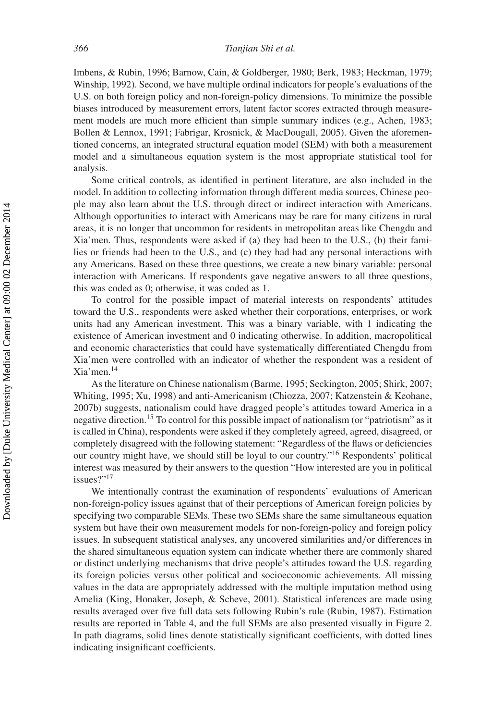Imbens, & Rubin, 1996; Barnow, Cain, & Goldberger, 1980; Berk, 1983; Heckman, 1979; Winship, 1992). Second, we have multiple ordinal indicators for people's evaluations of the U.S. on both foreign policy and non-foreign-policy dimensions. To minimize the possible biases introduced by measurement errors, latent factor scores extracted through measurement models are much more efficient than simple summary indices (e.g., Achen, 1983; Bollen & Lennox, 1991; Fabrigar, Krosnick, & MacDougall, 2005). Given the aforementioned concerns, an integrated structural equation model (SEM) with both a measurement model and a simultaneous equation system is the most appropriate statistical tool for analysis.

Some critical controls, as identified in pertinent literature, are also included in the model. In addition to collecting information through different media sources, Chinese people may also learn about the U.S. through direct or indirect interaction with Americans. Although opportunities to interact with Americans may be rare for many citizens in rural areas, it is no longer that uncommon for residents in metropolitan areas like Chengdu and Xia'men. Thus, respondents were asked if (a) they had been to the U.S., (b) their families or friends had been to the U.S., and (c) they had had any personal interactions with any Americans. Based on these three questions, we create a new binary variable: personal interaction with Americans. If respondents gave negative answers to all three questions, this was coded as 0; otherwise, it was coded as 1.

To control for the possible impact of material interests on respondents' attitudes toward the U.S., respondents were asked whether their corporations, enterprises, or work units had any American investment. This was a binary variable, with 1 indicating the existence of American investment and 0 indicating otherwise. In addition, macropolitical and economic characteristics that could have systematically differentiated Chengdu from Xia'men were controlled with an indicator of whether the respondent was a resident of Xia'men.<sup>14</sup>

As the literature on Chinese nationalism (Barme, 1995; Seckington, 2005; Shirk, 2007; Whiting, 1995; Xu, 1998) and anti-Americanism (Chiozza, 2007; Katzenstein & Keohane, 2007b) suggests, nationalism could have dragged people's attitudes toward America in a negative direction.<sup>15</sup> To control for this possible impact of nationalism (or "patriotism" as it is called in China), respondents were asked if they completely agreed, agreed, disagreed, or completely disagreed with the following statement: "Regardless of the flaws or deficiencies our country might have, we should still be loyal to our country."16 Respondents' political interest was measured by their answers to the question "How interested are you in political issues?"<sup>17</sup>

We intentionally contrast the examination of respondents' evaluations of American non-foreign-policy issues against that of their perceptions of American foreign policies by specifying two comparable SEMs. These two SEMs share the same simultaneous equation system but have their own measurement models for non-foreign-policy and foreign policy issues. In subsequent statistical analyses, any uncovered similarities and*/*or differences in the shared simultaneous equation system can indicate whether there are commonly shared or distinct underlying mechanisms that drive people's attitudes toward the U.S. regarding its foreign policies versus other political and socioeconomic achievements. All missing values in the data are appropriately addressed with the multiple imputation method using Amelia (King, Honaker, Joseph, & Scheve, 2001). Statistical inferences are made using results averaged over five full data sets following Rubin's rule (Rubin, 1987). Estimation results are reported in Table 4, and the full SEMs are also presented visually in Figure 2. In path diagrams, solid lines denote statistically significant coefficients, with dotted lines indicating insignificant coefficients.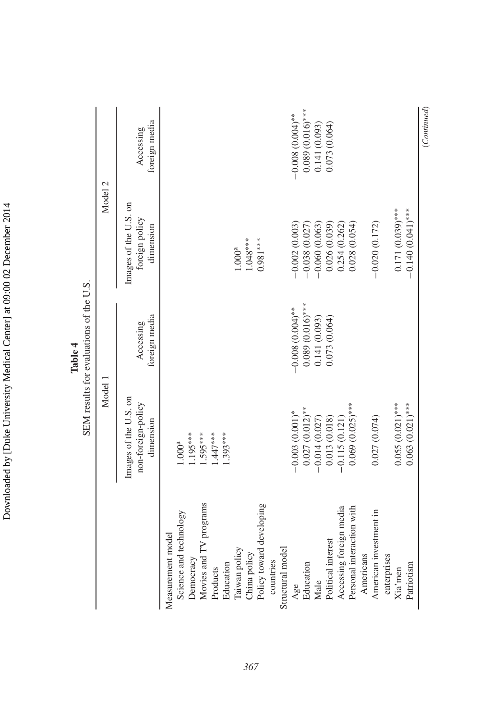| l<br>$\mathbf$     |
|--------------------|
|                    |
|                    |
|                    |
|                    |
|                    |
|                    |
| $\frac{1}{2}$<br>I |
|                    |
|                    |
|                    |
|                    |
| ١<br>l             |
| )<br>1             |
|                    |
| l                  |
|                    |
|                    |
|                    |
|                    |
|                    |
| $\frac{1}{2}$      |
|                    |
|                    |
|                    |
|                    |
|                    |
| ֠                  |
|                    |
|                    |
|                    |
|                    |
|                    |
|                    |
| ļ                  |
|                    |

|                           | Model 1                                     |                  | Model 2                                 |                                |
|---------------------------|---------------------------------------------|------------------|-----------------------------------------|--------------------------------|
|                           | Images of the U.S. on<br>non-foreign-policy | Accessing        | Images of the U.S. on<br>foreign policy | Accessing                      |
|                           | dimension                                   | foreign media    | dimension                               | foreign media                  |
| Measurement model         |                                             |                  |                                         |                                |
| Science and technology    | $1.000^{a}$                                 |                  |                                         |                                |
| Democracy                 | $1.195***$                                  |                  |                                         |                                |
| Movies and TV programs    | .595***                                     |                  |                                         |                                |
| Products                  | $1.447***$                                  |                  |                                         |                                |
| Education                 | $1.393***$                                  |                  |                                         |                                |
| Taiwan policy             |                                             |                  | $1.000^{a}$                             |                                |
| China policy              |                                             |                  | $1.048***$                              |                                |
| Policy toward developing  |                                             |                  | $0.981***$                              |                                |
| countries                 |                                             |                  |                                         |                                |
| Structural model          |                                             |                  |                                         |                                |
| Age                       | $-0.003(0.001)$ *                           | $-0.008$ (0.000; | $-0.002(0.003)$                         | $-0.008$ (0.004) <sup>**</sup> |
| Education                 | $0.027(0.012)$ **                           | $0.089(0.016)*$  | $-0.038(0.027)$                         | $0.089(0.016)$ ***             |
| Male                      | $-0.014(0.027)$                             | 0.141 (0.093)    | $-0.060(0.063)$                         | 0.141(0.093)                   |
| Political interest        | 0.013(0.018)                                | 0.073(0.064)     | 0.026(0.039)                            | 0.073 (0.064)                  |
| Accessing foreign media   | $-0.115(0.121)$                             |                  | 0.254(0.262)                            |                                |
| Personal interaction with | $0.069(0.025)$ ***                          |                  | 0.028(0.054)                            |                                |
| Americans                 |                                             |                  |                                         |                                |
| American investment in    | 0.027(0.074)                                |                  | $-0.020(0.172)$                         |                                |
| enterprises               |                                             |                  |                                         |                                |
| Xia'men                   | $0.055(0.021)$ ***                          |                  | $0.171(0.039)$ ***                      |                                |
| Patriotism                | $0.063(0.021)$ ***                          |                  | $-0.140(0.041)$ ***                     |                                |
|                           |                                             |                  |                                         | (Continued)                    |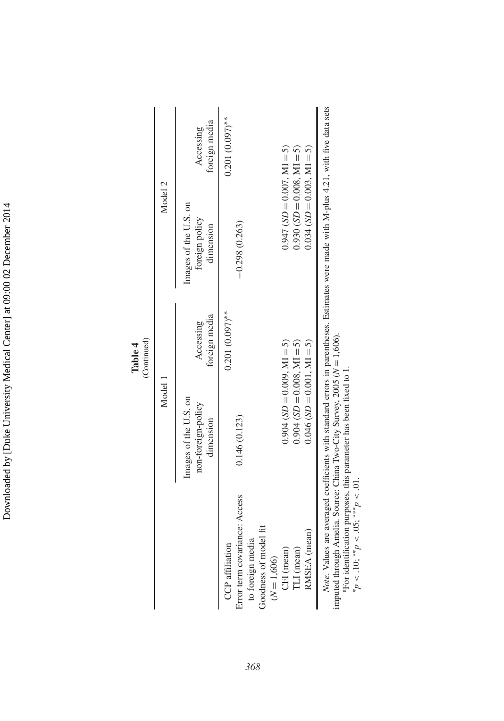| $\ddot{\phantom{0}}$<br>I                        |
|--------------------------------------------------|
| י                                                |
|                                                  |
|                                                  |
|                                                  |
|                                                  |
|                                                  |
| $\overline{a}$                                   |
|                                                  |
|                                                  |
|                                                  |
|                                                  |
|                                                  |
|                                                  |
| ١<br>l                                           |
|                                                  |
|                                                  |
| $\zeta$                                          |
|                                                  |
|                                                  |
|                                                  |
|                                                  |
| $\frac{1}{2}$                                    |
|                                                  |
| l<br>j                                           |
|                                                  |
|                                                  |
|                                                  |
|                                                  |
|                                                  |
|                                                  |
| ֖֖֖֧ׅ֧ׅ֖֖֧֚֚֚֚֚֚֚֚֚֚֚֚֚֚֚֚֚֚֚֚֚֚֚֚֚֚֚֚֚֚֬֝֝֬֓֞֝֝ |
| l                                                |
|                                                  |
|                                                  |
|                                                  |
|                                                  |
|                                                  |
|                                                  |
|                                                  |
| ļ                                                |

|                                                   |                                                                                                                                              | (Continued)<br>Table 4     |                                                      |                            |
|---------------------------------------------------|----------------------------------------------------------------------------------------------------------------------------------------------|----------------------------|------------------------------------------------------|----------------------------|
|                                                   | Model                                                                                                                                        |                            | Model 2                                              |                            |
|                                                   | Images of the U.S. on<br>non-foreign-policy<br>dimension                                                                                     | foreign media<br>Accessing | Images of the U.S. on<br>foreign policy<br>dimension | foreign media<br>Accessing |
| CCP affiliation                                   |                                                                                                                                              | $0.201(0.097)$ **          |                                                      | $0.201(0.097)$ **          |
| Error term covariance: Access<br>to foreign media | 0.146(0.123)                                                                                                                                 |                            | $-0.298(0.263)$                                      |                            |
| Goodness of model fit                             |                                                                                                                                              |                            |                                                      |                            |
| $(N = 1,606)$                                     |                                                                                                                                              |                            |                                                      |                            |
| CFI (mean)                                        | $0.904$ (SD = 0.009, MI = 5)                                                                                                                 |                            | $0.947(SD = 0.007, MI = 5)$                          |                            |
| TLI (mean)                                        | $0.904$ (SD = 0.008, MI = 5)                                                                                                                 |                            | $0.930$ (SD = 0.008, MI = 5)                         |                            |
| RMSEA (mean)                                      | $0.046$ (SD = 0.001, MI = 5)                                                                                                                 |                            | $0.034$ (SD = 0.003, MI = 5)                         |                            |
| $\ddot{\phantom{a}}$                              | Note. Values are averaged coefficients with standard errors in parentheses. Estimates were made with M-plus 4.21, with five data sets<br>てこく | $\sim$                     |                                                      |                            |

 $\frac{1}{2}$ *Note*. Values are averaged coefficients with standard errors in parentheses. Estimates were made with M-plus 4.21, with five data sets imputed through Amelia. Source: China Two-City Survey, 2005 (*N* = 1,606).

imputed through Amelia. Source: China Two-City Survey, 2005 ( $N = 1,606$ ).<br><sup>a</sup>For identification purposes, this parameter has been fixed to 1.<br><sup>\*</sup> $p < .10$ ; \*\* $p < .05$ ; \*\*\* $p < .01$ . aFor identification purposes, this parameter has been fixed to 1.

∗*p <* .10; ∗∗*p <* .05; ∗∗∗*p <* .01.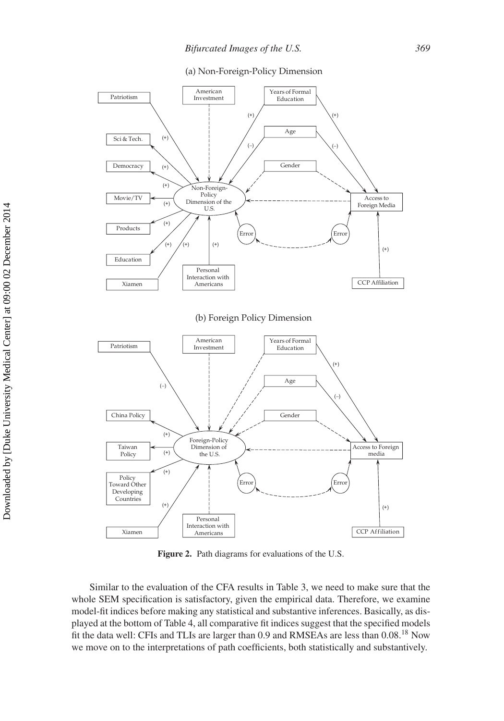



**Figure 2.** Path diagrams for evaluations of the U.S.

Similar to the evaluation of the CFA results in Table 3, we need to make sure that the whole SEM specification is satisfactory, given the empirical data. Therefore, we examine model-fit indices before making any statistical and substantive inferences. Basically, as displayed at the bottom of Table 4, all comparative fit indices suggest that the specified models fit the data well: CFIs and TLIs are larger than 0.9 and RMSEAs are less than 0.08.<sup>18</sup> Now we move on to the interpretations of path coefficients, both statistically and substantively.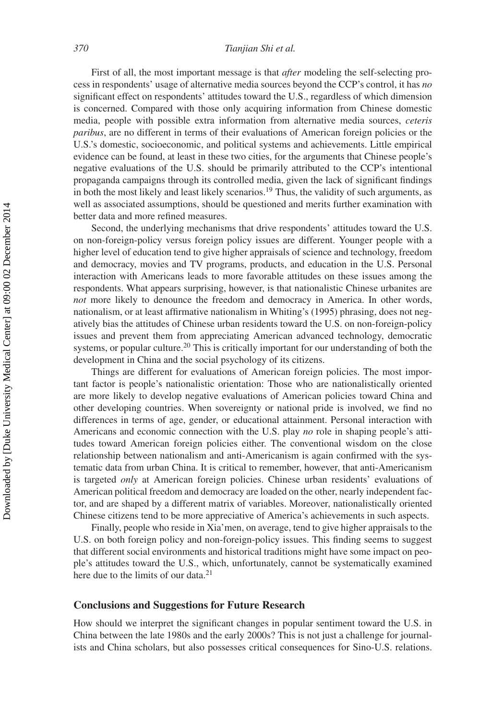First of all, the most important message is that *after* modeling the self-selecting process in respondents' usage of alternative media sources beyond the CCP's control, it has *no* significant effect on respondents' attitudes toward the U.S., regardless of which dimension is concerned. Compared with those only acquiring information from Chinese domestic media, people with possible extra information from alternative media sources, *ceteris paribus*, are no different in terms of their evaluations of American foreign policies or the U.S.'s domestic, socioeconomic, and political systems and achievements. Little empirical evidence can be found, at least in these two cities, for the arguments that Chinese people's negative evaluations of the U.S. should be primarily attributed to the CCP's intentional propaganda campaigns through its controlled media, given the lack of significant findings in both the most likely and least likely scenarios.<sup>19</sup> Thus, the validity of such arguments, as well as associated assumptions, should be questioned and merits further examination with better data and more refined measures.

Second, the underlying mechanisms that drive respondents' attitudes toward the U.S. on non-foreign-policy versus foreign policy issues are different. Younger people with a higher level of education tend to give higher appraisals of science and technology, freedom and democracy, movies and TV programs, products, and education in the U.S. Personal interaction with Americans leads to more favorable attitudes on these issues among the respondents. What appears surprising, however, is that nationalistic Chinese urbanites are *not* more likely to denounce the freedom and democracy in America. In other words, nationalism, or at least affirmative nationalism in Whiting's (1995) phrasing, does not negatively bias the attitudes of Chinese urban residents toward the U.S. on non-foreign-policy issues and prevent them from appreciating American advanced technology, democratic systems, or popular culture.<sup>20</sup> This is critically important for our understanding of both the development in China and the social psychology of its citizens.

Things are different for evaluations of American foreign policies. The most important factor is people's nationalistic orientation: Those who are nationalistically oriented are more likely to develop negative evaluations of American policies toward China and other developing countries. When sovereignty or national pride is involved, we find no differences in terms of age, gender, or educational attainment. Personal interaction with Americans and economic connection with the U.S. play *no* role in shaping people's attitudes toward American foreign policies either. The conventional wisdom on the close relationship between nationalism and anti-Americanism is again confirmed with the systematic data from urban China. It is critical to remember, however, that anti-Americanism is targeted *only* at American foreign policies. Chinese urban residents' evaluations of American political freedom and democracy are loaded on the other, nearly independent factor, and are shaped by a different matrix of variables. Moreover, nationalistically oriented Chinese citizens tend to be more appreciative of America's achievements in such aspects.

Finally, people who reside in Xia'men, on average, tend to give higher appraisals to the U.S. on both foreign policy and non-foreign-policy issues. This finding seems to suggest that different social environments and historical traditions might have some impact on people's attitudes toward the U.S., which, unfortunately, cannot be systematically examined here due to the limits of our data. $^{21}$ 

#### **Conclusions and Suggestions for Future Research**

How should we interpret the significant changes in popular sentiment toward the U.S. in China between the late 1980s and the early 2000s? This is not just a challenge for journalists and China scholars, but also possesses critical consequences for Sino-U.S. relations.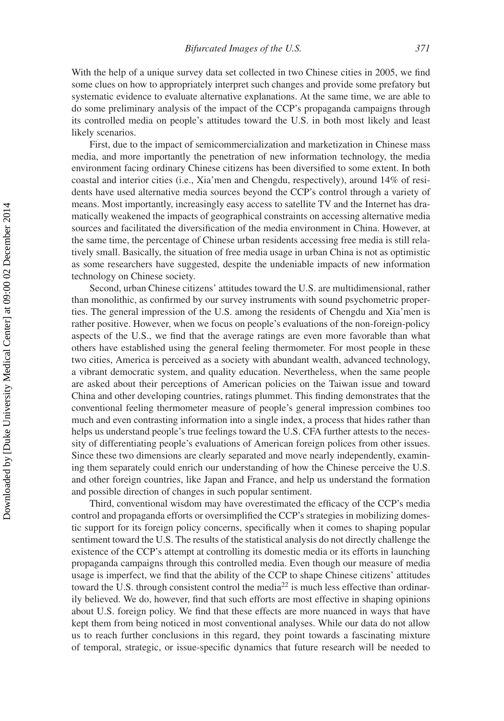With the help of a unique survey data set collected in two Chinese cities in 2005, we find some clues on how to appropriately interpret such changes and provide some prefatory but systematic evidence to evaluate alternative explanations. At the same time, we are able to do some preliminary analysis of the impact of the CCP's propaganda campaigns through its controlled media on people's attitudes toward the U.S. in both most likely and least likely scenarios.

First, due to the impact of semicommercialization and marketization in Chinese mass media, and more importantly the penetration of new information technology, the media environment facing ordinary Chinese citizens has been diversified to some extent. In both coastal and interior cities (i.e., Xia'men and Chengdu, respectively), around 14% of residents have used alternative media sources beyond the CCP's control through a variety of means. Most importantly, increasingly easy access to satellite TV and the Internet has dramatically weakened the impacts of geographical constraints on accessing alternative media sources and facilitated the diversification of the media environment in China. However, at the same time, the percentage of Chinese urban residents accessing free media is still relatively small. Basically, the situation of free media usage in urban China is not as optimistic as some researchers have suggested, despite the undeniable impacts of new information technology on Chinese society.

Second, urban Chinese citizens' attitudes toward the U.S. are multidimensional, rather than monolithic, as confirmed by our survey instruments with sound psychometric properties. The general impression of the U.S. among the residents of Chengdu and Xia'men is rather positive. However, when we focus on people's evaluations of the non-foreign-policy aspects of the U.S., we find that the average ratings are even more favorable than what others have established using the general feeling thermometer. For most people in these two cities, America is perceived as a society with abundant wealth, advanced technology, a vibrant democratic system, and quality education. Nevertheless, when the same people are asked about their perceptions of American policies on the Taiwan issue and toward China and other developing countries, ratings plummet. This finding demonstrates that the conventional feeling thermometer measure of people's general impression combines too much and even contrasting information into a single index, a process that hides rather than helps us understand people's true feelings toward the U.S. CFA further attests to the necessity of differentiating people's evaluations of American foreign polices from other issues. Since these two dimensions are clearly separated and move nearly independently, examining them separately could enrich our understanding of how the Chinese perceive the U.S. and other foreign countries, like Japan and France, and help us understand the formation and possible direction of changes in such popular sentiment.

Third, conventional wisdom may have overestimated the efficacy of the CCP's media control and propaganda efforts or oversimplified the CCP's strategies in mobilizing domestic support for its foreign policy concerns, specifically when it comes to shaping popular sentiment toward the U.S. The results of the statistical analysis do not directly challenge the existence of the CCP's attempt at controlling its domestic media or its efforts in launching propaganda campaigns through this controlled media. Even though our measure of media usage is imperfect, we find that the ability of the CCP to shape Chinese citizens' attitudes toward the U.S. through consistent control the media<sup>22</sup> is much less effective than ordinarily believed. We do, however, find that such efforts are most effective in shaping opinions about U.S. foreign policy. We find that these effects are more nuanced in ways that have kept them from being noticed in most conventional analyses. While our data do not allow us to reach further conclusions in this regard, they point towards a fascinating mixture of temporal, strategic, or issue-specific dynamics that future research will be needed to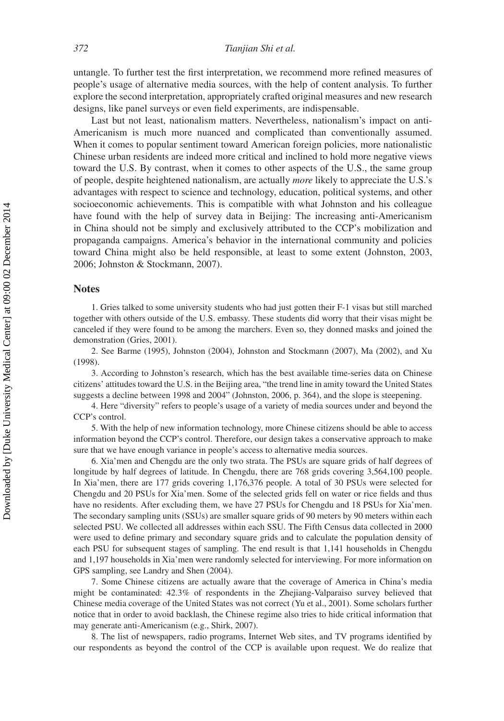untangle. To further test the first interpretation, we recommend more refined measures of people's usage of alternative media sources, with the help of content analysis. To further explore the second interpretation, appropriately crafted original measures and new research designs, like panel surveys or even field experiments, are indispensable.

Last but not least, nationalism matters. Nevertheless, nationalism's impact on anti-Americanism is much more nuanced and complicated than conventionally assumed. When it comes to popular sentiment toward American foreign policies, more nationalistic Chinese urban residents are indeed more critical and inclined to hold more negative views toward the U.S. By contrast, when it comes to other aspects of the U.S., the same group of people, despite heightened nationalism, are actually *more* likely to appreciate the U.S.'s advantages with respect to science and technology, education, political systems, and other socioeconomic achievements. This is compatible with what Johnston and his colleague have found with the help of survey data in Beijing: The increasing anti-Americanism in China should not be simply and exclusively attributed to the CCP's mobilization and propaganda campaigns. America's behavior in the international community and policies toward China might also be held responsible, at least to some extent (Johnston, 2003, 2006; Johnston & Stockmann, 2007).

#### **Notes**

1. Gries talked to some university students who had just gotten their F-1 visas but still marched together with others outside of the U.S. embassy. These students did worry that their visas might be canceled if they were found to be among the marchers. Even so, they donned masks and joined the demonstration (Gries, 2001).

2. See Barme (1995), Johnston (2004), Johnston and Stockmann (2007), Ma (2002), and Xu (1998).

3. According to Johnston's research, which has the best available time-series data on Chinese citizens' attitudes toward the U.S. in the Beijing area, "the trend line in amity toward the United States suggests a decline between 1998 and 2004" (Johnston, 2006, p. 364), and the slope is steepening.

4. Here "diversity" refers to people's usage of a variety of media sources under and beyond the CCP's control.

5. With the help of new information technology, more Chinese citizens should be able to access information beyond the CCP's control. Therefore, our design takes a conservative approach to make sure that we have enough variance in people's access to alternative media sources.

6. Xia'men and Chengdu are the only two strata. The PSUs are square grids of half degrees of longitude by half degrees of latitude. In Chengdu, there are 768 grids covering 3,564,100 people. In Xia'men, there are 177 grids covering 1,176,376 people. A total of 30 PSUs were selected for Chengdu and 20 PSUs for Xia'men. Some of the selected grids fell on water or rice fields and thus have no residents. After excluding them, we have 27 PSUs for Chengdu and 18 PSUs for Xia'men. The secondary sampling units (SSUs) are smaller square grids of 90 meters by 90 meters within each selected PSU. We collected all addresses within each SSU. The Fifth Census data collected in 2000 were used to define primary and secondary square grids and to calculate the population density of each PSU for subsequent stages of sampling. The end result is that 1,141 households in Chengdu and 1,197 households in Xia'men were randomly selected for interviewing. For more information on GPS sampling, see Landry and Shen (2004).

7. Some Chinese citizens are actually aware that the coverage of America in China's media might be contaminated: 42.3% of respondents in the Zhejiang-Valparaiso survey believed that Chinese media coverage of the United States was not correct (Yu et al., 2001). Some scholars further notice that in order to avoid backlash, the Chinese regime also tries to hide critical information that may generate anti-Americanism (e.g., Shirk, 2007).

8. The list of newspapers, radio programs, Internet Web sites, and TV programs identified by our respondents as beyond the control of the CCP is available upon request. We do realize that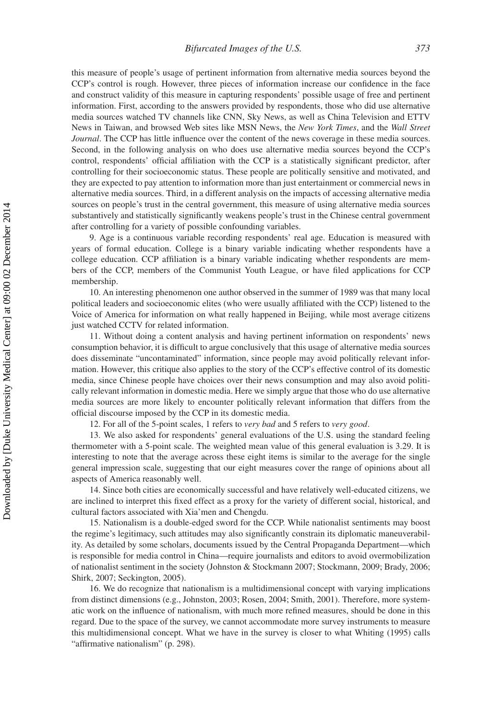this measure of people's usage of pertinent information from alternative media sources beyond the CCP's control is rough. However, three pieces of information increase our confidence in the face and construct validity of this measure in capturing respondents' possible usage of free and pertinent information. First, according to the answers provided by respondents, those who did use alternative media sources watched TV channels like CNN, Sky News, as well as China Television and ETTV News in Taiwan, and browsed Web sites like MSN News, the *New York Times*, and the *Wall Street Journal*. The CCP has little influence over the content of the news coverage in these media sources. Second, in the following analysis on who does use alternative media sources beyond the CCP's control, respondents' official affiliation with the CCP is a statistically significant predictor, after controlling for their socioeconomic status. These people are politically sensitive and motivated, and they are expected to pay attention to information more than just entertainment or commercial news in alternative media sources. Third, in a different analysis on the impacts of accessing alternative media sources on people's trust in the central government, this measure of using alternative media sources substantively and statistically significantly weakens people's trust in the Chinese central government after controlling for a variety of possible confounding variables.

9. Age is a continuous variable recording respondents' real age. Education is measured with years of formal education. College is a binary variable indicating whether respondents have a college education. CCP affiliation is a binary variable indicating whether respondents are members of the CCP, members of the Communist Youth League, or have filed applications for CCP membership.

10. An interesting phenomenon one author observed in the summer of 1989 was that many local political leaders and socioeconomic elites (who were usually affiliated with the CCP) listened to the Voice of America for information on what really happened in Beijing, while most average citizens just watched CCTV for related information.

11. Without doing a content analysis and having pertinent information on respondents' news consumption behavior, it is difficult to argue conclusively that this usage of alternative media sources does disseminate "uncontaminated" information, since people may avoid politically relevant information. However, this critique also applies to the story of the CCP's effective control of its domestic media, since Chinese people have choices over their news consumption and may also avoid politically relevant information in domestic media. Here we simply argue that those who do use alternative media sources are more likely to encounter politically relevant information that differs from the official discourse imposed by the CCP in its domestic media.

12. For all of the 5-point scales, 1 refers to *very bad* and 5 refers to *very good*.

13. We also asked for respondents' general evaluations of the U.S. using the standard feeling thermometer with a 5-point scale. The weighted mean value of this general evaluation is 3.29. It is interesting to note that the average across these eight items is similar to the average for the single general impression scale, suggesting that our eight measures cover the range of opinions about all aspects of America reasonably well.

14. Since both cities are economically successful and have relatively well-educated citizens, we are inclined to interpret this fixed effect as a proxy for the variety of different social, historical, and cultural factors associated with Xia'men and Chengdu.

15. Nationalism is a double-edged sword for the CCP. While nationalist sentiments may boost the regime's legitimacy, such attitudes may also significantly constrain its diplomatic maneuverability. As detailed by some scholars, documents issued by the Central Propaganda Department—which is responsible for media control in China—require journalists and editors to avoid overmobilization of nationalist sentiment in the society (Johnston & Stockmann 2007; Stockmann, 2009; Brady, 2006; Shirk, 2007; Seckington, 2005).

16. We do recognize that nationalism is a multidimensional concept with varying implications from distinct dimensions (e.g., Johnston, 2003; Rosen, 2004; Smith, 2001). Therefore, more systematic work on the influence of nationalism, with much more refined measures, should be done in this regard. Due to the space of the survey, we cannot accommodate more survey instruments to measure this multidimensional concept. What we have in the survey is closer to what Whiting (1995) calls "affirmative nationalism" (p. 298).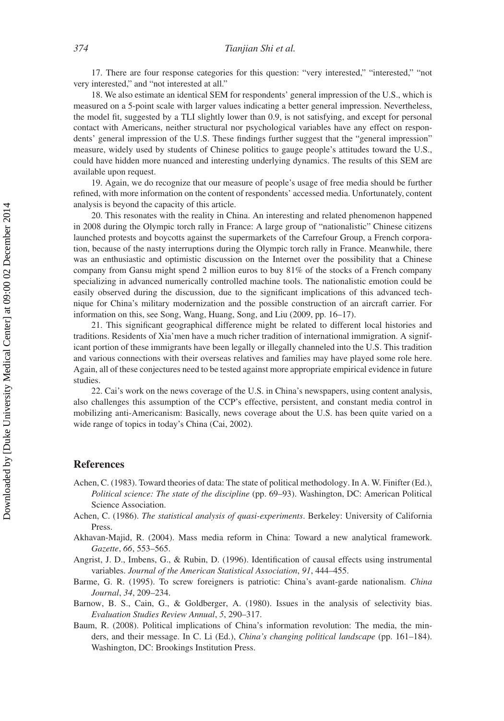17. There are four response categories for this question: "very interested," "interested," "not very interested," and "not interested at all."

18. We also estimate an identical SEM for respondents' general impression of the U.S., which is measured on a 5-point scale with larger values indicating a better general impression. Nevertheless, the model fit, suggested by a TLI slightly lower than 0.9, is not satisfying, and except for personal contact with Americans, neither structural nor psychological variables have any effect on respondents' general impression of the U.S. These findings further suggest that the "general impression" measure, widely used by students of Chinese politics to gauge people's attitudes toward the U.S., could have hidden more nuanced and interesting underlying dynamics. The results of this SEM are available upon request.

19. Again, we do recognize that our measure of people's usage of free media should be further refined, with more information on the content of respondents' accessed media. Unfortunately, content analysis is beyond the capacity of this article.

20. This resonates with the reality in China. An interesting and related phenomenon happened in 2008 during the Olympic torch rally in France: A large group of "nationalistic" Chinese citizens launched protests and boycotts against the supermarkets of the Carrefour Group, a French corporation, because of the nasty interruptions during the Olympic torch rally in France. Meanwhile, there was an enthusiastic and optimistic discussion on the Internet over the possibility that a Chinese company from Gansu might spend 2 million euros to buy 81% of the stocks of a French company specializing in advanced numerically controlled machine tools. The nationalistic emotion could be easily observed during the discussion, due to the significant implications of this advanced technique for China's military modernization and the possible construction of an aircraft carrier. For information on this, see Song, Wang, Huang, Song, and Liu (2009, pp. 16–17).

21. This significant geographical difference might be related to different local histories and traditions. Residents of Xia'men have a much richer tradition of international immigration. A significant portion of these immigrants have been legally or illegally channeled into the U.S. This tradition and various connections with their overseas relatives and families may have played some role here. Again, all of these conjectures need to be tested against more appropriate empirical evidence in future studies.

22. Cai's work on the news coverage of the U.S. in China's newspapers, using content analysis, also challenges this assumption of the CCP's effective, persistent, and constant media control in mobilizing anti-Americanism: Basically, news coverage about the U.S. has been quite varied on a wide range of topics in today's China (Cai, 2002).

#### **References**

- Achen, C. (1983). Toward theories of data: The state of political methodology. In A. W. Finifter (Ed.), *Political science: The state of the discipline* (pp. 69–93). Washington, DC: American Political Science Association.
- Achen, C. (1986). *The statistical analysis of quasi-experiments*. Berkeley: University of California Press.
- Akhavan-Majid, R. (2004). Mass media reform in China: Toward a new analytical framework. *Gazette*, *66*, 553–565.
- Angrist, J. D., Imbens, G., & Rubin, D. (1996). Identification of causal effects using instrumental variables. *Journal of the American Statistical Association*, *91*, 444–455.
- Barme, G. R. (1995). To screw foreigners is patriotic: China's avant-garde nationalism. *China Journal*, *34*, 209–234.
- Barnow, B. S., Cain, G., & Goldberger, A. (1980). Issues in the analysis of selectivity bias. *Evaluation Studies Review Annual*, *5*, 290–317.
- Baum, R. (2008). Political implications of China's information revolution: The media, the minders, and their message. In C. Li (Ed.), *China's changing political landscape* (pp. 161–184). Washington, DC: Brookings Institution Press.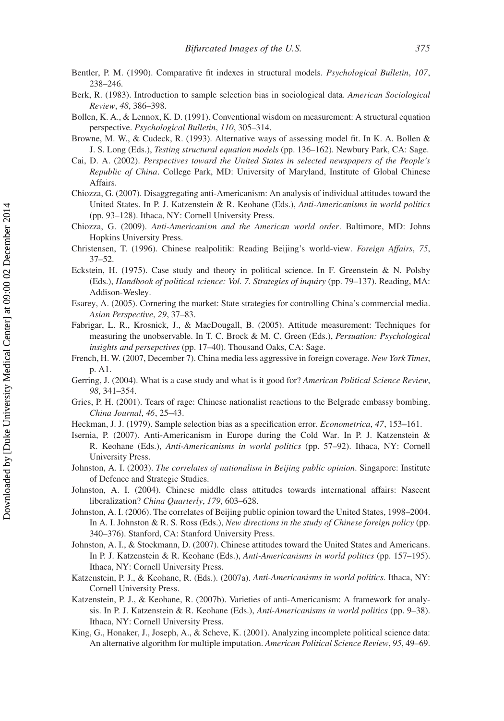- Bentler, P. M. (1990). Comparative fit indexes in structural models. *Psychological Bulletin*, *107*, 238–246.
- Berk, R. (1983). Introduction to sample selection bias in sociological data. *American Sociological Review*, *48*, 386–398.
- Bollen, K. A., & Lennox, K. D. (1991). Conventional wisdom on measurement: A structural equation perspective. *Psychological Bulletin*, *110*, 305–314.
- Browne, M. W., & Cudeck, R. (1993). Alternative ways of assessing model fit. In K. A. Bollen & J. S. Long (Eds.), *Testing structural equation models* (pp. 136–162). Newbury Park, CA: Sage.
- Cai, D. A. (2002). *Perspectives toward the United States in selected newspapers of the People's Republic of China*. College Park, MD: University of Maryland, Institute of Global Chinese Affairs.
- Chiozza, G. (2007). Disaggregating anti-Americanism: An analysis of individual attitudes toward the United States. In P. J. Katzenstein & R. Keohane (Eds.), *Anti-Americanisms in world politics* (pp. 93–128). Ithaca, NY: Cornell University Press.
- Chiozza, G. (2009). *Anti-Americanism and the American world order*. Baltimore, MD: Johns Hopkins University Press.
- Christensen, T. (1996). Chinese realpolitik: Reading Beijing's world-view. *Foreign Affairs*, *75*, 37–52.
- Eckstein, H. (1975). Case study and theory in political science. In F. Greenstein & N. Polsby (Eds.), *Handbook of political science: Vol. 7. Strategies of inquiry* (pp. 79–137). Reading, MA: Addison-Wesley.
- Esarey, A. (2005). Cornering the market: State strategies for controlling China's commercial media. *Asian Perspective*, *29*, 37–83.
- Fabrigar, L. R., Krosnick, J., & MacDougall, B. (2005). Attitude measurement: Techniques for measuring the unobservable. In T. C. Brock & M. C. Green (Eds.), *Persuation: Psychological insights and persepctives* (pp. 17–40). Thousand Oaks, CA: Sage.
- French, H. W. (2007, December 7). China media less aggressive in foreign coverage. *New York Times*, p. A1.
- Gerring, J. (2004). What is a case study and what is it good for? *American Political Science Review*, *98*, 341–354.
- Gries, P. H. (2001). Tears of rage: Chinese nationalist reactions to the Belgrade embassy bombing. *China Journal*, *46*, 25–43.
- Heckman, J. J. (1979). Sample selection bias as a specification error. *Econometrica*, *47*, 153–161.
- Isernia, P. (2007). Anti-Americanism in Europe during the Cold War. In P. J. Katzenstein & R. Keohane (Eds.), *Anti-Americanisms in world politics* (pp. 57–92). Ithaca, NY: Cornell University Press.
- Johnston, A. I. (2003). *The correlates of nationalism in Beijing public opinion*. Singapore: Institute of Defence and Strategic Studies.
- Johnston, A. I. (2004). Chinese middle class attitudes towards international affairs: Nascent liberalization? *China Quarterly*, *179*, 603–628.
- Johnston, A. I. (2006). The correlates of Beijing public opinion toward the United States, 1998–2004. In A. I. Johnston & R. S. Ross (Eds.), *New directions in the study of Chinese foreign policy* (pp. 340–376). Stanford, CA: Stanford University Press.
- Johnston, A. I., & Stockmann, D. (2007). Chinese attitudes toward the United States and Americans. In P. J. Katzenstein & R. Keohane (Eds.), *Anti-Americanisms in world politics* (pp. 157–195). Ithaca, NY: Cornell University Press.
- Katzenstein, P. J., & Keohane, R. (Eds.). (2007a). *Anti-Americanisms in world politics*. Ithaca, NY: Cornell University Press.
- Katzenstein, P. J., & Keohane, R. (2007b). Varieties of anti-Americanism: A framework for analysis. In P. J. Katzenstein & R. Keohane (Eds.), *Anti-Americanisms in world politics* (pp. 9–38). Ithaca, NY: Cornell University Press.
- King, G., Honaker, J., Joseph, A., & Scheve, K. (2001). Analyzing incomplete political science data: An alternative algorithm for multiple imputation. *American Political Science Review*, *95*, 49–69.